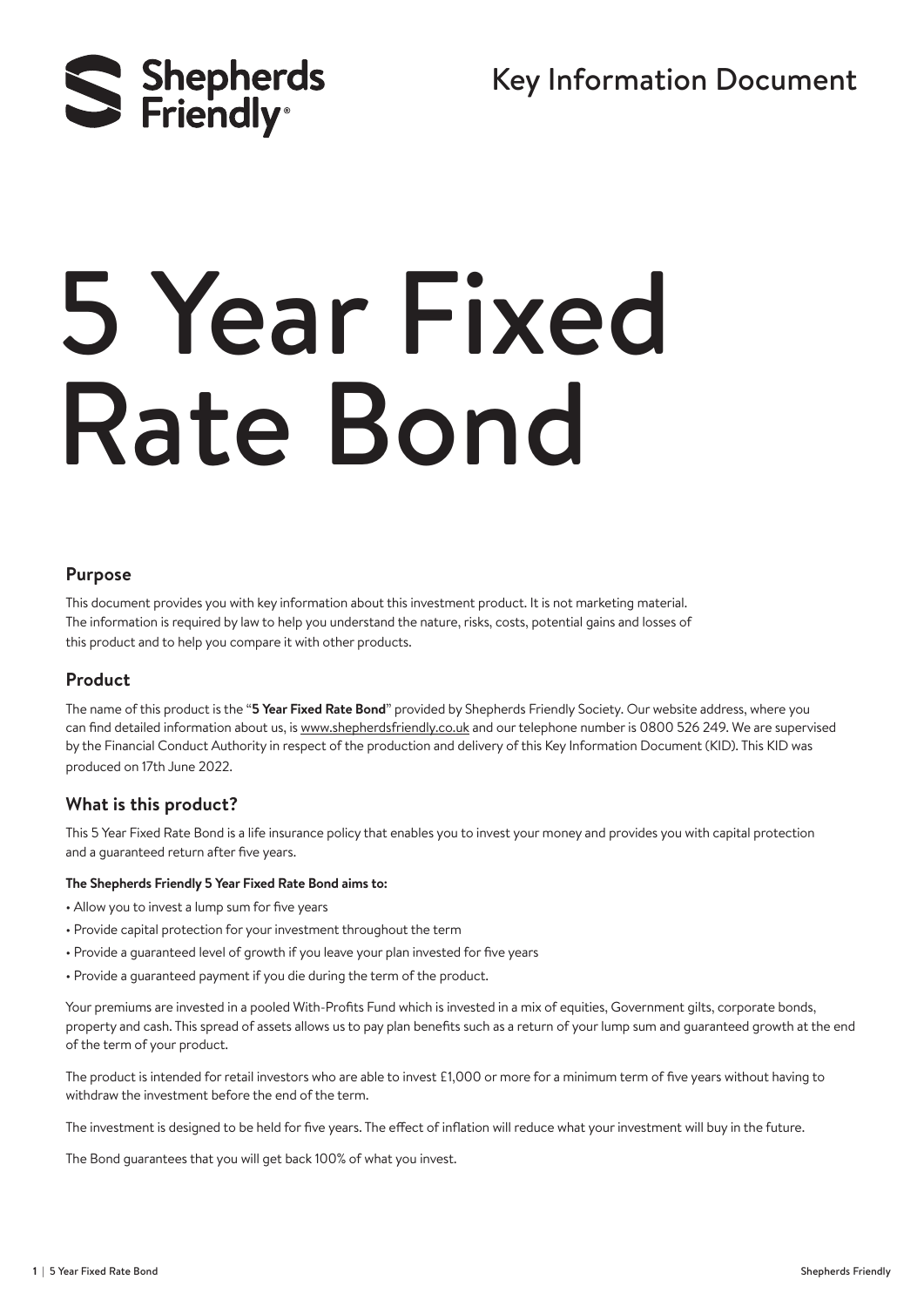Key Information Document



# 5 Year Fixed Rate Bond

#### **Purpose**

This document provides you with key information about this investment product. It is not marketing material. The information is required by law to help you understand the nature, risks, costs, potential gains and losses of this product and to help you compare it with other products.

#### **Product**

The name of this product is the "**5 Year Fixed Rate Bond**" provided by Shepherds Friendly Society. Our website address, where you can find detailed information about us, is www.shepherdsfriendly.co.uk and our telephone number is 0800 526 249. We are supervised by the Financial Conduct Authority in respect of the production and delivery of this Key Information Document (KID). This KID was produced on 17th June 2022.

#### **What is this product?**

This 5 Year Fixed Rate Bond is a life insurance policy that enables you to invest your money and provides you with capital protection and a guaranteed return after five years.

#### **The Shepherds Friendly 5 Year Fixed Rate Bond aims to:**

- Allow you to invest a lump sum for five years
- Provide capital protection for your investment throughout the term
- Provide a guaranteed level of growth if you leave your plan invested for five years
- Provide a guaranteed payment if you die during the term of the product.

Your premiums are invested in a pooled With-Profits Fund which is invested in a mix of equities, Government gilts, corporate bonds, property and cash. This spread of assets allows us to pay plan benefits such as a return of your lump sum and guaranteed growth at the end of the term of your product.

The product is intended for retail investors who are able to invest £1,000 or more for a minimum term of five years without having to withdraw the investment before the end of the term.

The investment is designed to be held for five years. The effect of inflation will reduce what your investment will buy in the future.

The Bond guarantees that you will get back 100% of what you invest.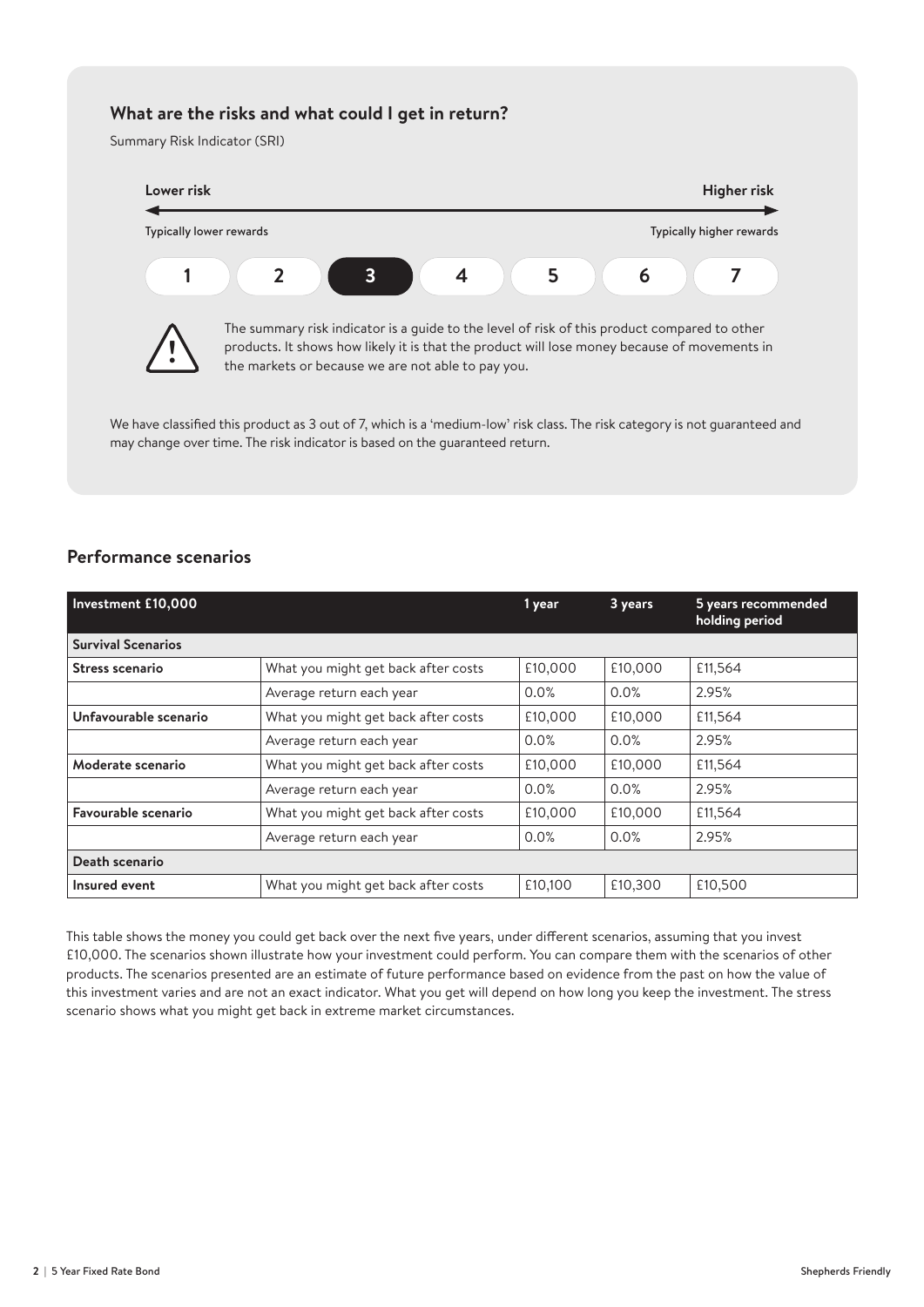### **What are the risks and what could I get in return?**

Summary Risk Indicator (SRI)



We have classified this product as 3 out of 7, which is a 'medium-low' risk class. The risk category is not quaranteed and may change over time. The risk indicator is based on the guaranteed return.

# **Performance scenarios**

| Investment £10,000                                         |                                     | 1 year  | 3 years | 5 years recommended<br>holding period |  |
|------------------------------------------------------------|-------------------------------------|---------|---------|---------------------------------------|--|
| <b>Survival Scenarios</b>                                  |                                     |         |         |                                       |  |
| Stress scenario                                            | What you might get back after costs | £10,000 | £10,000 | £11,564                               |  |
|                                                            | Average return each year            | 0.0%    | 0.0%    | 2.95%                                 |  |
| Unfavourable scenario                                      | What you might get back after costs |         | £10,000 | £11,564                               |  |
|                                                            | Average return each year            | 0.0%    | 0.0%    | 2.95%                                 |  |
| What you might get back after costs<br>Moderate scenario   |                                     | £10,000 | £10,000 | £11,564                               |  |
|                                                            | Average return each year            | 0.0%    | 0.0%    | 2.95%                                 |  |
| Favourable scenario<br>What you might get back after costs |                                     | £10,000 | £10,000 | £11,564                               |  |
|                                                            | Average return each year            | 0.0%    | 0.0%    | 2.95%                                 |  |
| Death scenario                                             |                                     |         |         |                                       |  |
| Insured event                                              | What you might get back after costs |         | £10,300 | £10,500                               |  |

This table shows the money you could get back over the next five years, under different scenarios, assuming that you invest £10,000. The scenarios shown illustrate how your investment could perform. You can compare them with the scenarios of other products. The scenarios presented are an estimate of future performance based on evidence from the past on how the value of this investment varies and are not an exact indicator. What you get will depend on how long you keep the investment. The stress scenario shows what you might get back in extreme market circumstances.